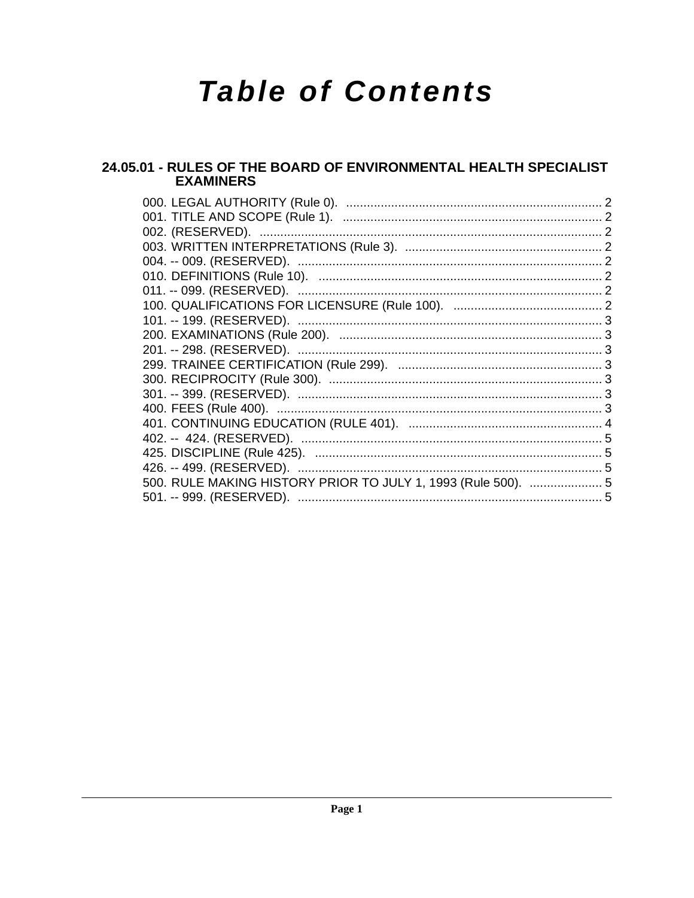# **Table of Contents**

## 24.05.01 - RULES OF THE BOARD OF ENVIRONMENTAL HEALTH SPECIALIST **EXAMINERS**

| 500. RULE MAKING HISTORY PRIOR TO JULY 1, 1993 (Rule 500).  5 |  |
|---------------------------------------------------------------|--|
|                                                               |  |
|                                                               |  |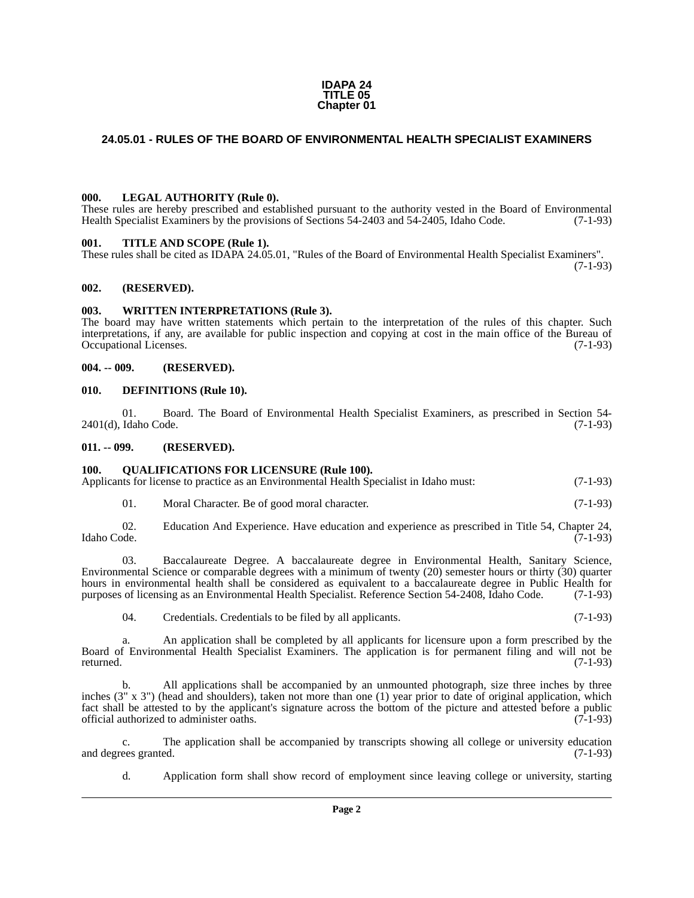#### **IDAPA 24 TITLE 05 Chapter 01**

## <span id="page-1-0"></span>**24.05.01 - RULES OF THE BOARD OF ENVIRONMENTAL HEALTH SPECIALIST EXAMINERS**

#### <span id="page-1-1"></span>**000. LEGAL AUTHORITY (Rule 0).**

These rules are hereby prescribed and established pursuant to the authority vested in the Board of Environmental Health Specialist Examiners by the provisions of Sections 54-2403 and 54-2405, Idaho Code. (7-1-93)

#### <span id="page-1-2"></span>**001. TITLE AND SCOPE (Rule 1).**

These rules shall be cited as IDAPA 24.05.01, "Rules of the Board of Environmental Health Specialist Examiners".  $(7-1-93)$ 

#### <span id="page-1-3"></span>**002. (RESERVED).**

#### <span id="page-1-4"></span>**003. WRITTEN INTERPRETATIONS (Rule 3).**

The board may have written statements which pertain to the interpretation of the rules of this chapter. Such interpretations, if any, are available for public inspection and copying at cost in the main office of the Bureau of Occupational Licenses.

#### <span id="page-1-5"></span>**004. -- 009. (RESERVED).**

#### <span id="page-1-6"></span>**010. DEFINITIONS (Rule 10).**

01. Board. The Board of Environmental Health Specialist Examiners, as prescribed in Section 54-<br>Idaho Code. (7-1-93)  $2401(d)$ , Idaho Code.

#### <span id="page-1-7"></span>**011. -- 099. (RESERVED).**

#### <span id="page-1-8"></span>**100. QUALIFICATIONS FOR LICENSURE (Rule 100).**

Applicants for license to practice as an Environmental Health Specialist in Idaho must: (7-1-93)

01. Moral Character. Be of good moral character. (7-1-93)

02. Education And Experience. Have education and experience as prescribed in Title 54, Chapter 24, Idaho Code. (7-1-93) Idaho Code. (7-1-93)

03. Baccalaureate Degree. A baccalaureate degree in Environmental Health, Sanitary Science, Environmental Science or comparable degrees with a minimum of twenty (20) semester hours or thirty (30) quarter hours in environmental health shall be considered as equivalent to a baccalaureate degree in Public Health for purposes of licensing as an Environmental Health Specialist. Reference Section 54-2408, Idaho Code. (7-1-93)

04. Credentials. Credentials to be filed by all applicants. (7-1-93)

a. An application shall be completed by all applicants for licensure upon a form prescribed by the Board of Environmental Health Specialist Examiners. The application is for permanent filing and will not be returned. (7-1-93) returned. (7-1-93)

b. All applications shall be accompanied by an unmounted photograph, size three inches by three inches (3" x 3") (head and shoulders), taken not more than one (1) year prior to date of original application, which fact shall be attested to by the applicant's signature across the bottom of the picture and attested before a public official authorized to administer oaths. (7-1-93) official authorized to administer oaths.

c. The application shall be accompanied by transcripts showing all college or university education ees granted. (7-1-93) and degrees granted.

d. Application form shall show record of employment since leaving college or university, starting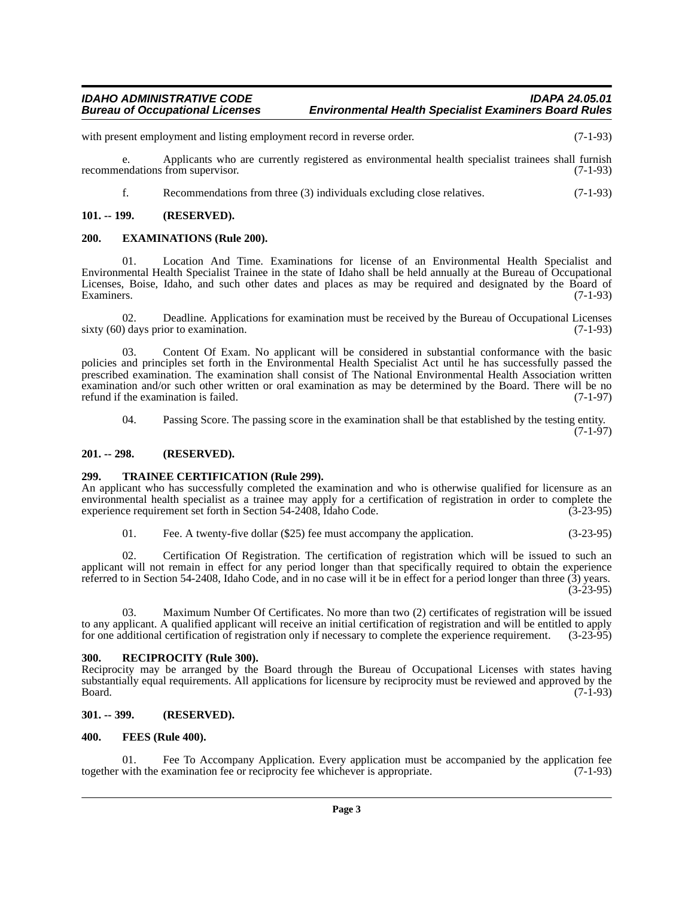## *IDAHO ADMINISTRATIVE CODE IDAPA 24.05.01 Environmental Health Specialist Examiners Board Rules*

with present employment and listing employment record in reverse order. (7-1-93)

e. Applicants who are currently registered as environmental health specialist trainees shall furnish recommendations from supervisor. (7-1-93)

f. Recommendations from three (3) individuals excluding close relatives. (7-1-93)

#### <span id="page-2-0"></span>**101. -- 199. (RESERVED).**

#### <span id="page-2-1"></span>**200. EXAMINATIONS (Rule 200).**

01. Location And Time. Examinations for license of an Environmental Health Specialist and Environmental Health Specialist Trainee in the state of Idaho shall be held annually at the Bureau of Occupational Licenses, Boise, Idaho, and such other dates and places as may be required and designated by the Board of Examiners. (7-1-93)

02. Deadline. Applications for examination must be received by the Bureau of Occupational Licenses ( $7-1-93$ ) sixty  $(60)$  days prior to examination.

Content Of Exam. No applicant will be considered in substantial conformance with the basic policies and principles set forth in the Environmental Health Specialist Act until he has successfully passed the prescribed examination. The examination shall consist of The National Environmental Health Association written examination and/or such other written or oral examination as may be determined by the Board. There will be no refund if the examination is failed. (7-1-97)

04. Passing Score. The passing score in the examination shall be that established by the testing entity.

(7-1-97)

#### <span id="page-2-2"></span>**201. -- 298. (RESERVED).**

#### <span id="page-2-3"></span>**299. TRAINEE CERTIFICATION (Rule 299).**

An applicant who has successfully completed the examination and who is otherwise qualified for licensure as an environmental health specialist as a trainee may apply for a certification of registration in order to complete the experience requirement set forth in Section 54-2408, Idaho Code. (3-23-95) experience requirement set forth in Section 54-2408, Idaho Code.

01. Fee. A twenty-five dollar (\$25) fee must accompany the application. (3-23-95)

02. Certification Of Registration. The certification of registration which will be issued to such an applicant will not remain in effect for any period longer than that specifically required to obtain the experience referred to in Section 54-2408, Idaho Code, and in no case will it be in effect for a period longer than three (3) years. (3-23-95)

03. Maximum Number Of Certificates. No more than two (2) certificates of registration will be issued to any applicant. A qualified applicant will receive an initial certification of registration and will be entitled to apply for one additional certification of registration only if necessary to complete the experience requ for one additional certification of registration only if necessary to complete the experience requirement.

#### <span id="page-2-4"></span>**300. RECIPROCITY (Rule 300).**

Reciprocity may be arranged by the Board through the Bureau of Occupational Licenses with states having substantially equal requirements. All applications for licensure by reciprocity must be reviewed and approved by the<br>(7-1-93) Board. (7-1-93)

#### <span id="page-2-5"></span>**301. -- 399. (RESERVED).**

#### <span id="page-2-6"></span>**400. FEES (Rule 400).**

Fee To Accompany Application. Every application must be accompanied by the application fee examination fee or reciprocity fee whichever is appropriate. (7-1-93) together with the examination fee or reciprocity fee whichever is appropriate.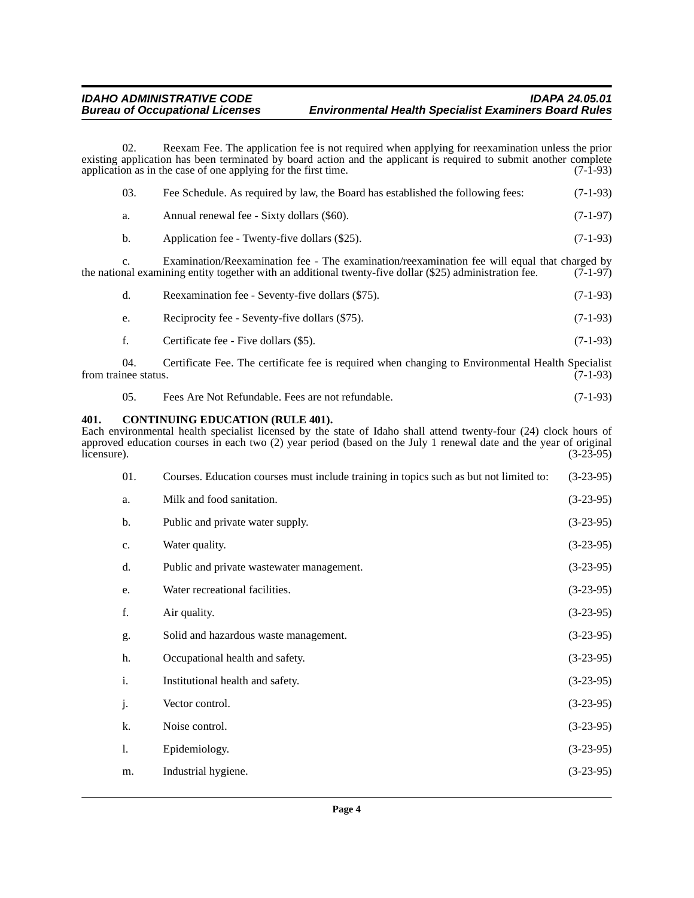## *IDAHO ADMINISTRATIVE CODE IDAPA 24.05.01 Environmental Health Specialist Examiners Board Rules*

02. Reexam Fee. The application fee is not required when applying for reexamination unless the prior existing application has been terminated by board action and the applicant is required to submit another complete application as in the case of one applying for the first time. (7-1-93) application as in the case of one applying for the first time.

| 03. | Fee Schedule. As required by law, the Board has established the following fees: | $(7-1-93)$ |
|-----|---------------------------------------------------------------------------------|------------|
| а.  | Annual renewal fee - Sixty dollars (\$60).                                      | $(7-1-97)$ |
| b.  | Application fee - Twenty-five dollars (\$25).                                   | $(7-1-93)$ |

c. Examination/Reexamination fee - The examination/reexamination fee will equal that charged by nal examining entity together with an additional twenty-five dollar (\$25) administration fee. (7-1-97) the national examining entity together with an additional twenty-five dollar (\$25) administration fee.

| d. | Reexamination fee - Seventy-five dollars (\$75). | $(7-1-93)$ |
|----|--------------------------------------------------|------------|
| e. | Reciprocity fee - Seventy-five dollars (\$75).   | $(7-1-93)$ |
|    | Certificate fee - Five dollars (\$5).            | $(7-1-93)$ |

04. Certificate Fee. The certificate fee is required when changing to Environmental Health Specialist nee status. (7-1-93) from trainee status.

05. Fees Are Not Refundable. Fees are not refundable. (7-1-93)

#### <span id="page-3-0"></span>**401. CONTINUING EDUCATION (RULE 401).**

Each environmental health specialist licensed by the state of Idaho shall attend twenty-four (24) clock hours of approved education courses in each two (2) year period (based on the July 1 renewal date and the year of original licensure). (3-23-95)  $l$  (3-23-95)  $(3-23-95)$ 

| 01.            | Courses. Education courses must include training in topics such as but not limited to: | $(3-23-95)$ |
|----------------|----------------------------------------------------------------------------------------|-------------|
| a.             | Milk and food sanitation.                                                              | $(3-23-95)$ |
| b.             | Public and private water supply.                                                       | $(3-23-95)$ |
| c.             | Water quality.                                                                         | $(3-23-95)$ |
| d.             | Public and private wastewater management.                                              | $(3-23-95)$ |
| e.             | Water recreational facilities.                                                         | $(3-23-95)$ |
| f.             | Air quality.                                                                           | $(3-23-95)$ |
| g.             | Solid and hazardous waste management.                                                  | $(3-23-95)$ |
| h.             | Occupational health and safety.                                                        | $(3-23-95)$ |
| $\mathbf{i}$ . | Institutional health and safety.                                                       | $(3-23-95)$ |
| j.             | Vector control.                                                                        | $(3-23-95)$ |
| k.             | Noise control.                                                                         | $(3-23-95)$ |
| 1.             | Epidemiology.                                                                          | $(3-23-95)$ |
| m.             | Industrial hygiene.                                                                    | $(3-23-95)$ |